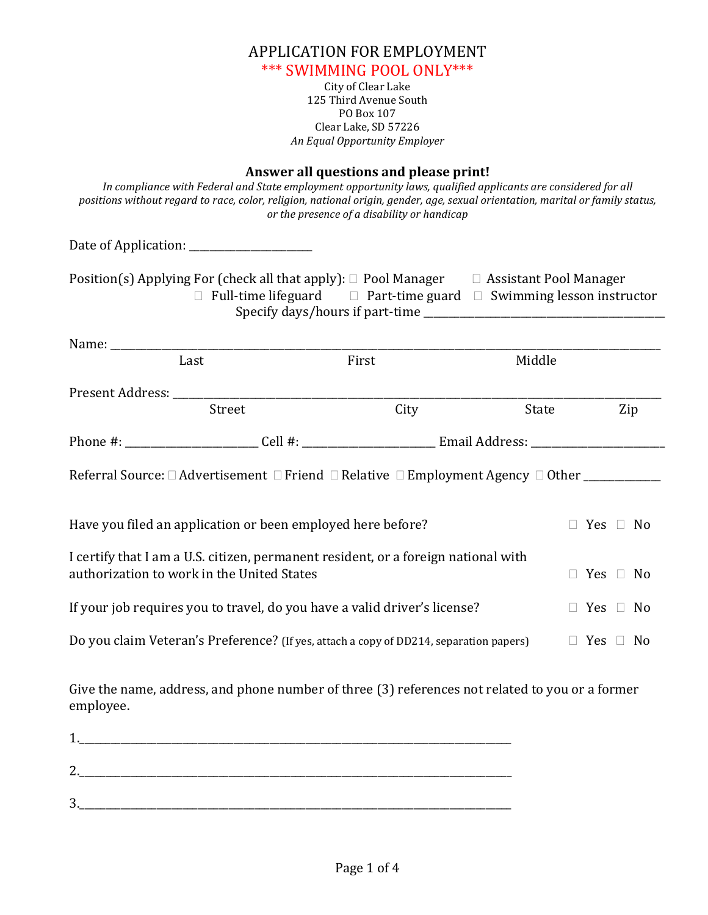| APPLICATION FOR EMPLOYMENT             |  |
|----------------------------------------|--|
| *** SWIMMING POOL ONLY***              |  |
| City of Clear Lake                     |  |
| 125 Third Avenue South                 |  |
| PO Box 107                             |  |
| Clear Lake, SD 57226                   |  |
| An Equal Opportunity Employer          |  |
|                                        |  |
| Answer all questions and please print! |  |

| positions without regard to race, color, religion, national origin, gender, age, sexual orientation, marital or family status,                           | Answer an questions and picase print.<br>In compliance with Federal and State employment opportunity laws, qualified applicants are considered for all<br>or the presence of a disability or handicap |        |              |  |  |
|----------------------------------------------------------------------------------------------------------------------------------------------------------|-------------------------------------------------------------------------------------------------------------------------------------------------------------------------------------------------------|--------|--------------|--|--|
|                                                                                                                                                          |                                                                                                                                                                                                       |        |              |  |  |
| Position(s) Applying For (check all that apply): $\Box$ Pool Manager $\Box$ Assistant Pool Manager                                                       | $\Box$ Full-time lifeguard $\Box$ Part-time guard $\Box$ Swimming lesson instructor                                                                                                                   |        |              |  |  |
|                                                                                                                                                          |                                                                                                                                                                                                       |        |              |  |  |
| Last                                                                                                                                                     | First                                                                                                                                                                                                 | Middle |              |  |  |
|                                                                                                                                                          |                                                                                                                                                                                                       |        |              |  |  |
| Street                                                                                                                                                   |                                                                                                                                                                                                       | City   | Zip<br>State |  |  |
|                                                                                                                                                          |                                                                                                                                                                                                       |        |              |  |  |
|                                                                                                                                                          |                                                                                                                                                                                                       |        |              |  |  |
| Have you filed an application or been employed here before?<br>$\Box$ Yes $\Box$ No                                                                      |                                                                                                                                                                                                       |        |              |  |  |
| I certify that I am a U.S. citizen, permanent resident, or a foreign national with<br>authorization to work in the United States<br>$\Box$ Yes $\Box$ No |                                                                                                                                                                                                       |        |              |  |  |
| If your job requires you to travel, do you have a valid driver's license?<br>$\Box$ Yes $\Box$ No                                                        |                                                                                                                                                                                                       |        |              |  |  |
| Do you claim Veteran's Preference? (If yes, attach a copy of DD214, separation papers)<br>$\Box$ Yes $\Box$ No                                           |                                                                                                                                                                                                       |        |              |  |  |

Give the name, address, and phone number of three (3) references not related to you or a former employee.

| ◢             |  |  |
|---------------|--|--|
| $\mathcal{L}$ |  |  |
| 2<br><b>پ</b> |  |  |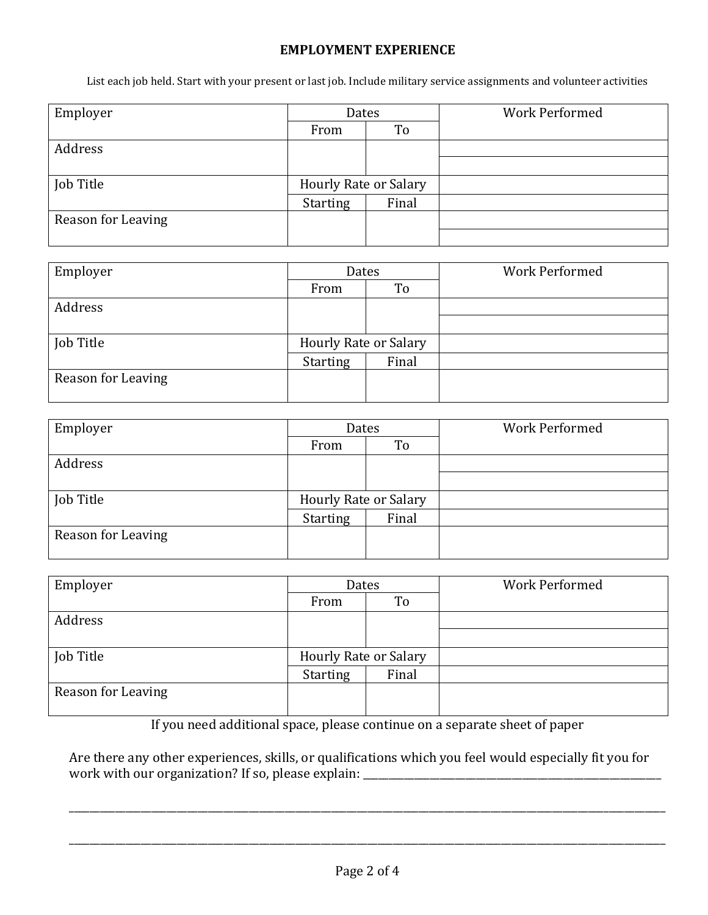## **EMPLOYMENT EXPERIENCE**

List each job held. Start with your present or last job. Include military service assignments and volunteer activities

| Employer           | Dates                 |       | <b>Work Performed</b> |  |
|--------------------|-----------------------|-------|-----------------------|--|
|                    | To<br>From            |       |                       |  |
| Address            |                       |       |                       |  |
|                    |                       |       |                       |  |
| Job Title          | Hourly Rate or Salary |       |                       |  |
|                    | <b>Starting</b>       | Final |                       |  |
| Reason for Leaving |                       |       |                       |  |
|                    |                       |       |                       |  |

| Employer           | Dates                        |       | <b>Work Performed</b> |  |
|--------------------|------------------------------|-------|-----------------------|--|
|                    | From                         | To    |                       |  |
| Address            |                              |       |                       |  |
|                    |                              |       |                       |  |
| Job Title          | <b>Hourly Rate or Salary</b> |       |                       |  |
|                    | <b>Starting</b>              | Final |                       |  |
| Reason for Leaving |                              |       |                       |  |

| Employer           | Dates                        |       | <b>Work Performed</b> |  |
|--------------------|------------------------------|-------|-----------------------|--|
|                    | To<br>From                   |       |                       |  |
| Address            |                              |       |                       |  |
|                    |                              |       |                       |  |
| Job Title          | <b>Hourly Rate or Salary</b> |       |                       |  |
|                    | <b>Starting</b>              | Final |                       |  |
| Reason for Leaving |                              |       |                       |  |

| Employer           | Dates                        |       | <b>Work Performed</b> |  |
|--------------------|------------------------------|-------|-----------------------|--|
|                    | To<br>From                   |       |                       |  |
| Address            |                              |       |                       |  |
|                    |                              |       |                       |  |
| Job Title          | <b>Hourly Rate or Salary</b> |       |                       |  |
|                    | <b>Starting</b>              | Final |                       |  |
| Reason for Leaving |                              |       |                       |  |

If you need additional space, please continue on a separate sheet of paper

Are there any other experiences, skills, or qualifications which you feel would especially fit you for work with our organization? If so, please explain: \_\_\_\_\_\_\_\_\_\_\_\_\_\_\_\_\_\_\_\_\_\_\_\_\_\_\_\_\_\_

\_\_\_\_\_\_\_\_\_\_\_\_\_\_\_\_\_\_\_\_\_\_\_\_\_\_\_\_\_\_\_\_\_\_\_\_\_\_\_\_\_\_\_\_\_\_\_\_\_\_\_\_\_\_\_\_\_\_\_\_\_\_\_\_\_\_\_\_\_\_\_\_\_\_\_\_\_\_\_\_\_\_\_\_\_\_\_\_\_\_\_\_\_\_\_\_\_\_\_\_\_\_\_\_\_\_\_\_\_\_\_\_\_\_\_\_

\_\_\_\_\_\_\_\_\_\_\_\_\_\_\_\_\_\_\_\_\_\_\_\_\_\_\_\_\_\_\_\_\_\_\_\_\_\_\_\_\_\_\_\_\_\_\_\_\_\_\_\_\_\_\_\_\_\_\_\_\_\_\_\_\_\_\_\_\_\_\_\_\_\_\_\_\_\_\_\_\_\_\_\_\_\_\_\_\_\_\_\_\_\_\_\_\_\_\_\_\_\_\_\_\_\_\_\_\_\_\_\_\_\_\_\_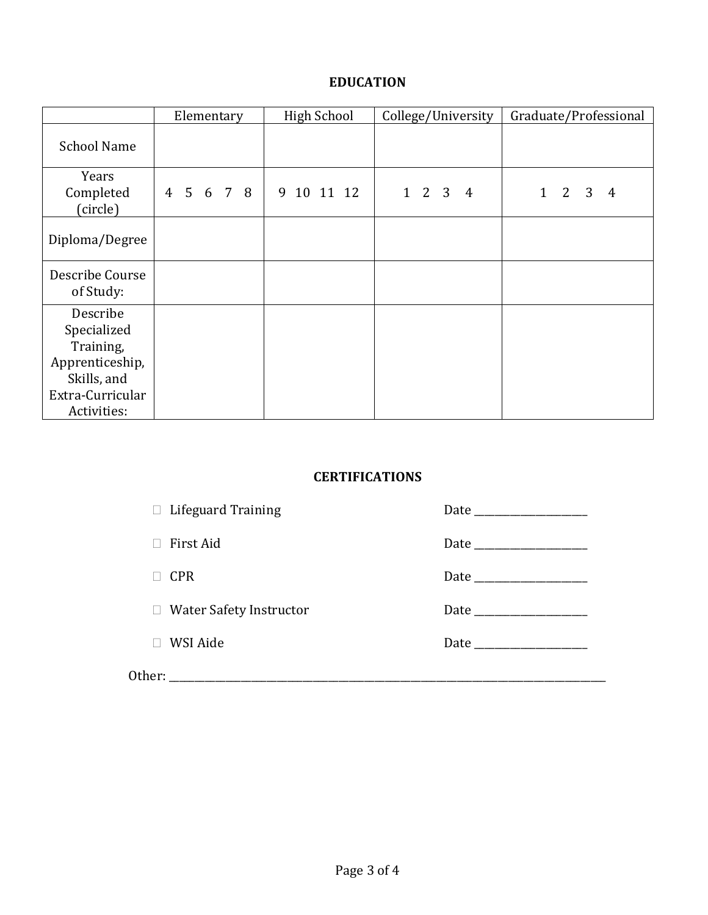## **EDUCATION**

|                                                                                                           | Elementary | <b>High School</b> |                                     | Graduate/Professional                 |  |
|-----------------------------------------------------------------------------------------------------------|------------|--------------------|-------------------------------------|---------------------------------------|--|
| <b>School Name</b>                                                                                        |            |                    |                                     |                                       |  |
| Years<br>Completed<br>(circle)                                                                            | 4 5 6 7 8  | 9<br>10 11 12      | $1\quad 2\quad 3$<br>$\overline{4}$ | $\overline{2}$<br>3<br>$1 \quad$<br>4 |  |
| Diploma/Degree                                                                                            |            |                    |                                     |                                       |  |
| Describe Course<br>of Study:                                                                              |            |                    |                                     |                                       |  |
| Describe<br>Specialized<br>Training,<br>Apprenticeship,<br>Skills, and<br>Extra-Curricular<br>Activities: |            |                    |                                     |                                       |  |

## **CERTIFICATIONS**

| $\Box$ Lifeguard Training      |  |
|--------------------------------|--|
| First Aid                      |  |
| <b>CPR</b>                     |  |
| $\Box$ Water Safety Instructor |  |
| WSI Aide                       |  |
| Other:                         |  |